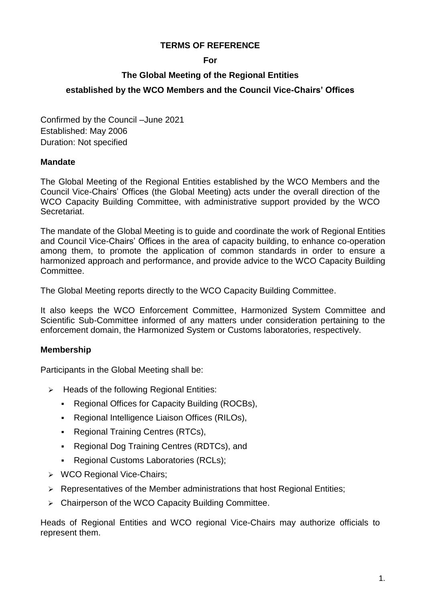# **TERMS OF REFERENCE**

#### **For**

# **The Global Meeting of the Regional Entities established by the WCO Members and the Council Vice-Chairs' Offices**

Confirmed by the Council –June 2021 Established: May 2006 Duration: Not specified

#### **Mandate**

The Global Meeting of the Regional Entities established by the WCO Members and the Council Vice-Chairs' Offices (the Global Meeting) acts under the overall direction of the WCO Capacity Building Committee, with administrative support provided by the WCO Secretariat.

The mandate of the Global Meeting is to guide and coordinate the work of Regional Entities and Council Vice-Chairs' Offices in the area of capacity building, to enhance co-operation among them, to promote the application of common standards in order to ensure a harmonized approach and performance, and provide advice to the WCO Capacity Building Committee.

The Global Meeting reports directly to the WCO Capacity Building Committee.

It also keeps the WCO Enforcement Committee, Harmonized System Committee and Scientific Sub-Committee informed of any matters under consideration pertaining to the enforcement domain, the Harmonized System or Customs laboratories, respectively.

# **Membership**

Participants in the Global Meeting shall be:

- $\triangleright$  Heads of the following Regional Entities:
	- Regional Offices for Capacity Building (ROCBs),
	- Regional Intelligence Liaison Offices (RILOs),
	- Regional Training Centres (RTCs),
	- Regional Dog Training Centres (RDTCs), and
	- Regional Customs Laboratories (RCLs);
- ▶ WCO Regional Vice-Chairs;
- $\triangleright$  Representatives of the Member administrations that host Regional Entities;
- $\triangleright$  Chairperson of the WCO Capacity Building Committee.

Heads of Regional Entities and WCO regional Vice-Chairs may authorize officials to represent them.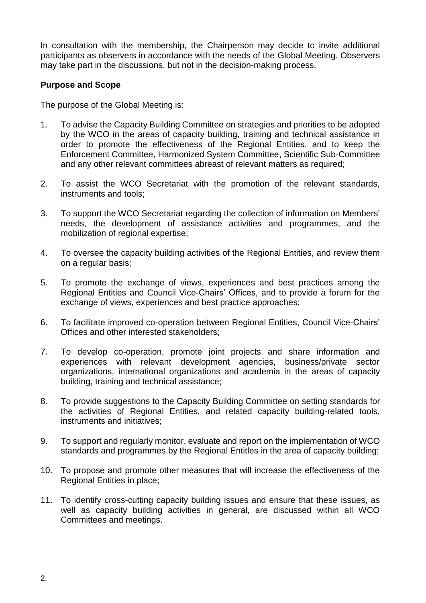In consultation with the membership, the Chairperson may decide to invite additional participants as observers in accordance with the needs of the Global Meeting. Observers may take part in the discussions, but not in the decision-making process.

#### **Purpose and Scope**

The purpose of the Global Meeting is:

- 1. To advise the Capacity Building Committee on strategies and priorities to be adopted by the WCO in the areas of capacity building, training and technical assistance in order to promote the effectiveness of the Regional Entities, and to keep the Enforcement Committee, Harmonized System Committee, Scientific Sub-Committee and any other relevant committees abreast of relevant matters as required;
- 2. To assist the WCO Secretariat with the promotion of the relevant standards, instruments and tools;
- 3. To support the WCO Secretariat regarding the collection of information on Members' needs, the development of assistance activities and programmes, and the mobilization of regional expertise;
- 4. To oversee the capacity building activities of the Regional Entities, and review them on a regular basis;
- 5. To promote the exchange of views, experiences and best practices among the Regional Entities and Council Vice-Chairs' Offices, and to provide a forum for the exchange of views, experiences and best practice approaches;
- 6. To facilitate improved co-operation between Regional Entities, Council Vice-Chairs' Offices and other interested stakeholders;
- 7. To develop co-operation, promote joint projects and share information and experiences with relevant development agencies, business/private sector organizations, international organizations and academia in the areas of capacity building, training and technical assistance;
- 8. To provide suggestions to the Capacity Building Committee on setting standards for the activities of Regional Entities, and related capacity building-related tools, instruments and initiatives;
- 9. To support and regularly monitor, evaluate and report on the implementation of WCO standards and programmes by the Regional Entitles in the area of capacity building;
- 10. To propose and promote other measures that will increase the effectiveness of the Regional Entities in place;
- 11. To identify cross-cutting capacity building issues and ensure that these issues, as well as capacity building activities in general, are discussed within all WCO Committees and meetings.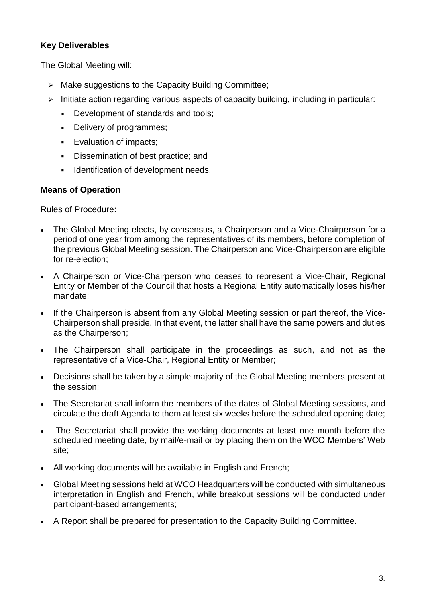# **Key Deliverables**

The Global Meeting will:

- $\triangleright$  Make suggestions to the Capacity Building Committee;
- $\geq$  Initiate action regarding various aspects of capacity building, including in particular:
	- Development of standards and tools;
	- Delivery of programmes;
	- **Evaluation of impacts;**
	- Dissemination of best practice; and
	- **IDENTIFICATE IN A LOCATE 15 IDENTIFICATE:** Identification of development needs.

# **Means of Operation**

Rules of Procedure:

- The Global Meeting elects, by consensus, a Chairperson and a Vice-Chairperson for a period of one year from among the representatives of its members, before completion of the previous Global Meeting session. The Chairperson and Vice-Chairperson are eligible for re-election;
- A Chairperson or Vice-Chairperson who ceases to represent a Vice-Chair, Regional Entity or Member of the Council that hosts a Regional Entity automatically loses his/her mandate;
- If the Chairperson is absent from any Global Meeting session or part thereof, the Vice-Chairperson shall preside. In that event, the latter shall have the same powers and duties as the Chairperson;
- The Chairperson shall participate in the proceedings as such, and not as the representative of a Vice-Chair, Regional Entity or Member;
- Decisions shall be taken by a simple majority of the Global Meeting members present at the session;
- The Secretariat shall inform the members of the dates of Global Meeting sessions, and circulate the draft Agenda to them at least six weeks before the scheduled opening date;
- The Secretariat shall provide the working documents at least one month before the scheduled meeting date, by mail/e-mail or by placing them on the WCO Members' Web site;
- All working documents will be available in English and French;
- Global Meeting sessions held at WCO Headquarters will be conducted with simultaneous interpretation in English and French, while breakout sessions will be conducted under participant-based arrangements;
- A Report shall be prepared for presentation to the Capacity Building Committee.